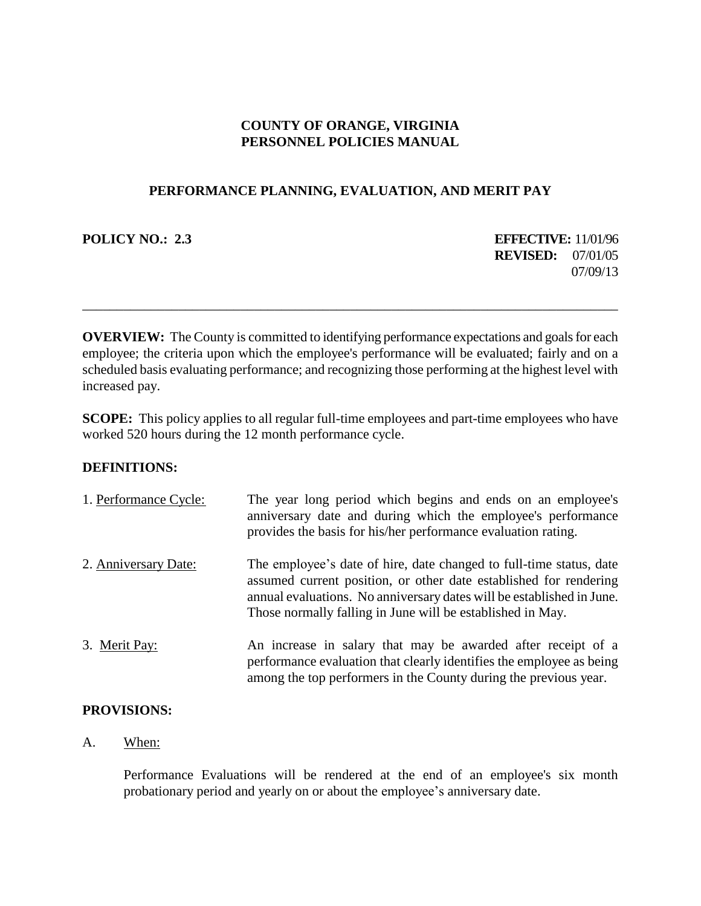# **COUNTY OF ORANGE, VIRGINIA PERSONNEL POLICIES MANUAL**

## **PERFORMANCE PLANNING, EVALUATION, AND MERIT PAY**

**POLICY NO.: 2.3 EFFECTIVE:** 11/01/96 **REVISED:** 07/01/05 07/09/13

**OVERVIEW:** The County is committed to identifying performance expectations and goals for each employee; the criteria upon which the employee's performance will be evaluated; fairly and on a scheduled basis evaluating performance; and recognizing those performing at the highest level with increased pay.

\_\_\_\_\_\_\_\_\_\_\_\_\_\_\_\_\_\_\_\_\_\_\_\_\_\_\_\_\_\_\_\_\_\_\_\_\_\_\_\_\_\_\_\_\_\_\_\_\_\_\_\_\_\_\_\_\_\_\_\_\_\_\_\_\_\_\_\_\_\_\_\_\_\_\_\_\_\_

**SCOPE:** This policy applies to all regular full-time employees and part-time employees who have worked 520 hours during the 12 month performance cycle.

## **DEFINITIONS:**

| 1. Performance Cycle: | The year long period which begins and ends on an employee's<br>anniversary date and during which the employee's performance<br>provides the basis for his/her performance evaluation rating.                                                                                    |
|-----------------------|---------------------------------------------------------------------------------------------------------------------------------------------------------------------------------------------------------------------------------------------------------------------------------|
| 2. Anniversary Date:  | The employee's date of hire, date changed to full-time status, date<br>assumed current position, or other date established for rendering<br>annual evaluations. No anniversary dates will be established in June.<br>Those normally falling in June will be established in May. |
| 3. Merit Pay:         | An increase in salary that may be awarded after receipt of a<br>performance evaluation that clearly identifies the employee as being<br>among the top performers in the County during the previous year.                                                                        |

## **PROVISIONS:**

## A. When:

Performance Evaluations will be rendered at the end of an employee's six month probationary period and yearly on or about the employee's anniversary date.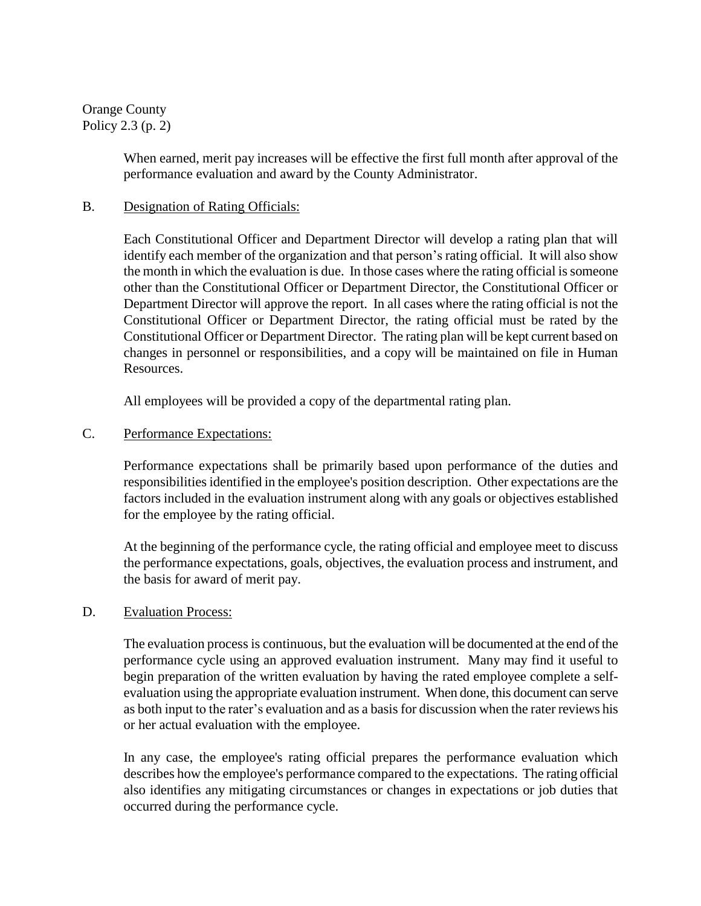Orange County Policy 2.3 (p. 2)

> When earned, merit pay increases will be effective the first full month after approval of the performance evaluation and award by the County Administrator.

## B. Designation of Rating Officials:

Each Constitutional Officer and Department Director will develop a rating plan that will identify each member of the organization and that person's rating official. It will also show the month in which the evaluation is due. In those cases where the rating official is someone other than the Constitutional Officer or Department Director, the Constitutional Officer or Department Director will approve the report. In all cases where the rating official is not the Constitutional Officer or Department Director, the rating official must be rated by the Constitutional Officer or Department Director. The rating plan will be kept current based on changes in personnel or responsibilities, and a copy will be maintained on file in Human Resources.

All employees will be provided a copy of the departmental rating plan.

## C. Performance Expectations:

Performance expectations shall be primarily based upon performance of the duties and responsibilities identified in the employee's position description. Other expectations are the factors included in the evaluation instrument along with any goals or objectives established for the employee by the rating official.

At the beginning of the performance cycle, the rating official and employee meet to discuss the performance expectations, goals, objectives, the evaluation process and instrument, and the basis for award of merit pay.

## D. Evaluation Process:

The evaluation process is continuous, but the evaluation will be documented at the end of the performance cycle using an approved evaluation instrument. Many may find it useful to begin preparation of the written evaluation by having the rated employee complete a selfevaluation using the appropriate evaluation instrument. When done, this document can serve as both input to the rater's evaluation and as a basis for discussion when the rater reviews his or her actual evaluation with the employee.

In any case, the employee's rating official prepares the performance evaluation which describes how the employee's performance compared to the expectations. The rating official also identifies any mitigating circumstances or changes in expectations or job duties that occurred during the performance cycle.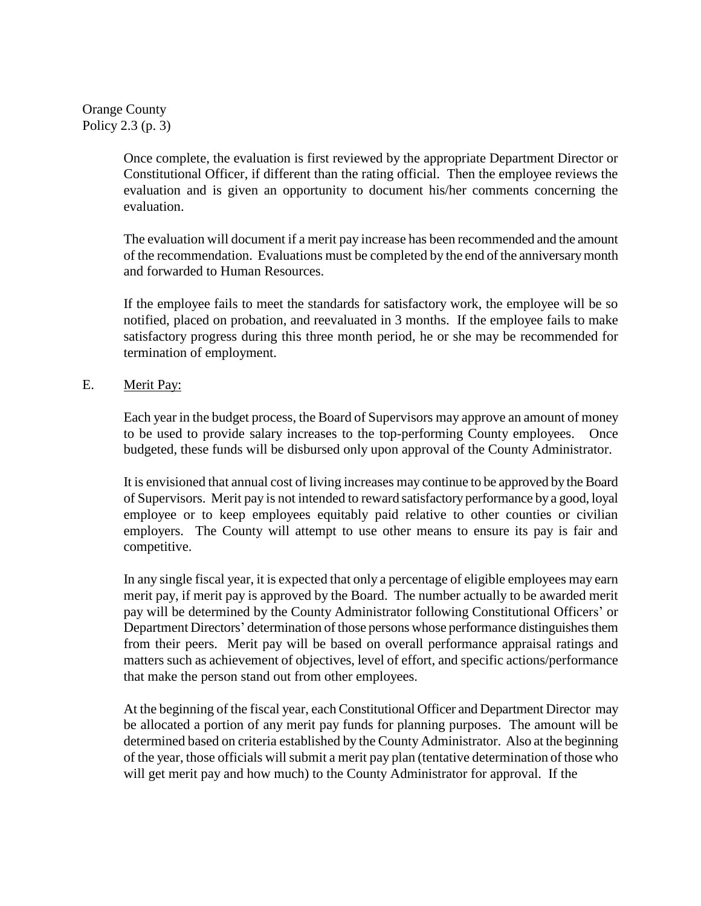Orange County Policy 2.3 (p. 3)

> Once complete, the evaluation is first reviewed by the appropriate Department Director or Constitutional Officer, if different than the rating official. Then the employee reviews the evaluation and is given an opportunity to document his/her comments concerning the evaluation.

> The evaluation will document if a merit pay increase has been recommended and the amount of the recommendation. Evaluations must be completed by the end of the anniversary month and forwarded to Human Resources.

> If the employee fails to meet the standards for satisfactory work, the employee will be so notified, placed on probation, and reevaluated in 3 months. If the employee fails to make satisfactory progress during this three month period, he or she may be recommended for termination of employment.

## E. Merit Pay:

Each year in the budget process, the Board of Supervisors may approve an amount of money to be used to provide salary increases to the top-performing County employees. Once budgeted, these funds will be disbursed only upon approval of the County Administrator.

It is envisioned that annual cost of living increases may continue to be approved by the Board of Supervisors. Merit pay is not intended to reward satisfactory performance by a good, loyal employee or to keep employees equitably paid relative to other counties or civilian employers. The County will attempt to use other means to ensure its pay is fair and competitive.

In any single fiscal year, it is expected that only a percentage of eligible employees may earn merit pay, if merit pay is approved by the Board. The number actually to be awarded merit pay will be determined by the County Administrator following Constitutional Officers' or Department Directors' determination of those persons whose performance distinguishes them from their peers. Merit pay will be based on overall performance appraisal ratings and matters such as achievement of objectives, level of effort, and specific actions/performance that make the person stand out from other employees.

At the beginning of the fiscal year, each Constitutional Officer and Department Director may be allocated a portion of any merit pay funds for planning purposes. The amount will be determined based on criteria established by the County Administrator. Also at the beginning of the year, those officials will submit a merit pay plan (tentative determination of those who will get merit pay and how much) to the County Administrator for approval. If the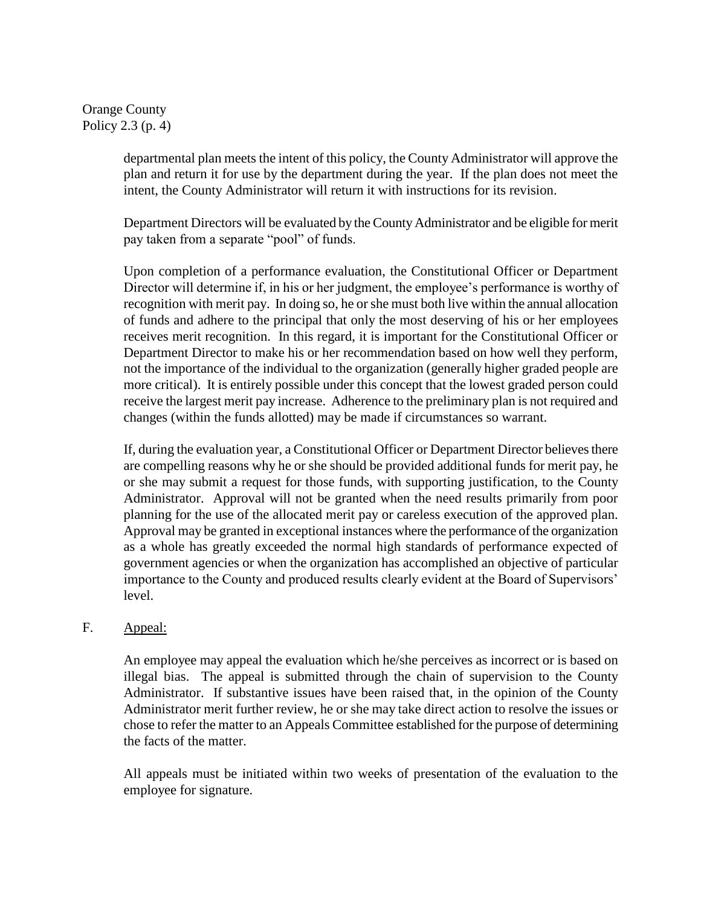Orange County Policy 2.3 (p. 4)

> departmental plan meets the intent of this policy, the County Administrator will approve the plan and return it for use by the department during the year. If the plan does not meet the intent, the County Administrator will return it with instructions for its revision.

> Department Directors will be evaluated by the County Administrator and be eligible for merit pay taken from a separate "pool" of funds.

> Upon completion of a performance evaluation, the Constitutional Officer or Department Director will determine if, in his or her judgment, the employee's performance is worthy of recognition with merit pay. In doing so, he or she must both live within the annual allocation of funds and adhere to the principal that only the most deserving of his or her employees receives merit recognition. In this regard, it is important for the Constitutional Officer or Department Director to make his or her recommendation based on how well they perform, not the importance of the individual to the organization (generally higher graded people are more critical). It is entirely possible under this concept that the lowest graded person could receive the largest merit pay increase. Adherence to the preliminary plan is not required and changes (within the funds allotted) may be made if circumstances so warrant.

> If, during the evaluation year, a Constitutional Officer or Department Director believes there are compelling reasons why he or she should be provided additional funds for merit pay, he or she may submit a request for those funds, with supporting justification, to the County Administrator. Approval will not be granted when the need results primarily from poor planning for the use of the allocated merit pay or careless execution of the approved plan. Approval may be granted in exceptional instances where the performance of the organization as a whole has greatly exceeded the normal high standards of performance expected of government agencies or when the organization has accomplished an objective of particular importance to the County and produced results clearly evident at the Board of Supervisors' level.

## F. Appeal:

An employee may appeal the evaluation which he/she perceives as incorrect or is based on illegal bias. The appeal is submitted through the chain of supervision to the County Administrator. If substantive issues have been raised that, in the opinion of the County Administrator merit further review, he or she may take direct action to resolve the issues or chose to refer the matter to an Appeals Committee established for the purpose of determining the facts of the matter.

All appeals must be initiated within two weeks of presentation of the evaluation to the employee for signature.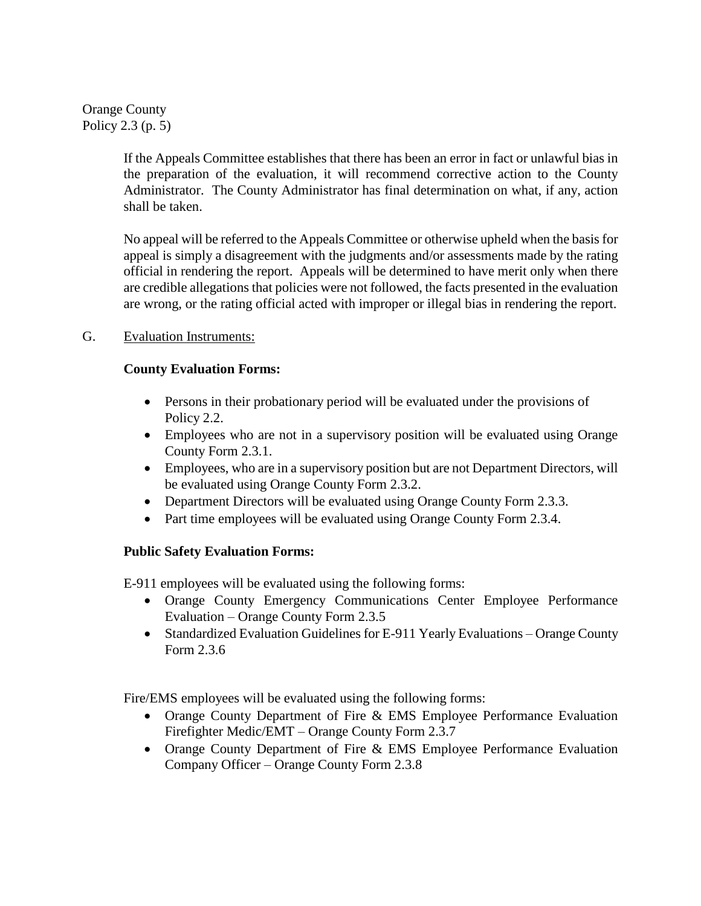Orange County Policy 2.3 (p. 5)

> If the Appeals Committee establishes that there has been an error in fact or unlawful bias in the preparation of the evaluation, it will recommend corrective action to the County Administrator. The County Administrator has final determination on what, if any, action shall be taken.

> No appeal will be referred to the Appeals Committee or otherwise upheld when the basis for appeal is simply a disagreement with the judgments and/or assessments made by the rating official in rendering the report. Appeals will be determined to have merit only when there are credible allegations that policies were not followed, the facts presented in the evaluation are wrong, or the rating official acted with improper or illegal bias in rendering the report.

# G. Evaluation Instruments:

# **County Evaluation Forms:**

- Persons in their probationary period will be evaluated under the provisions of Policy 2.2.
- Employees who are not in a supervisory position will be evaluated using Orange County Form 2.3.1.
- Employees, who are in a supervisory position but are not Department Directors, will be evaluated using Orange County Form 2.3.2.
- Department Directors will be evaluated using Orange County Form 2.3.3.
- Part time employees will be evaluated using Orange County Form 2.3.4.

# **Public Safety Evaluation Forms:**

E-911 employees will be evaluated using the following forms:

- Orange County Emergency Communications Center Employee Performance Evaluation – Orange County Form 2.3.5
- Standardized Evaluation Guidelines for E-911 Yearly Evaluations Orange County Form 2.3.6

Fire/EMS employees will be evaluated using the following forms:

- Orange County Department of Fire & EMS Employee Performance Evaluation Firefighter Medic/EMT – Orange County Form 2.3.7
- Orange County Department of Fire & EMS Employee Performance Evaluation Company Officer – Orange County Form 2.3.8